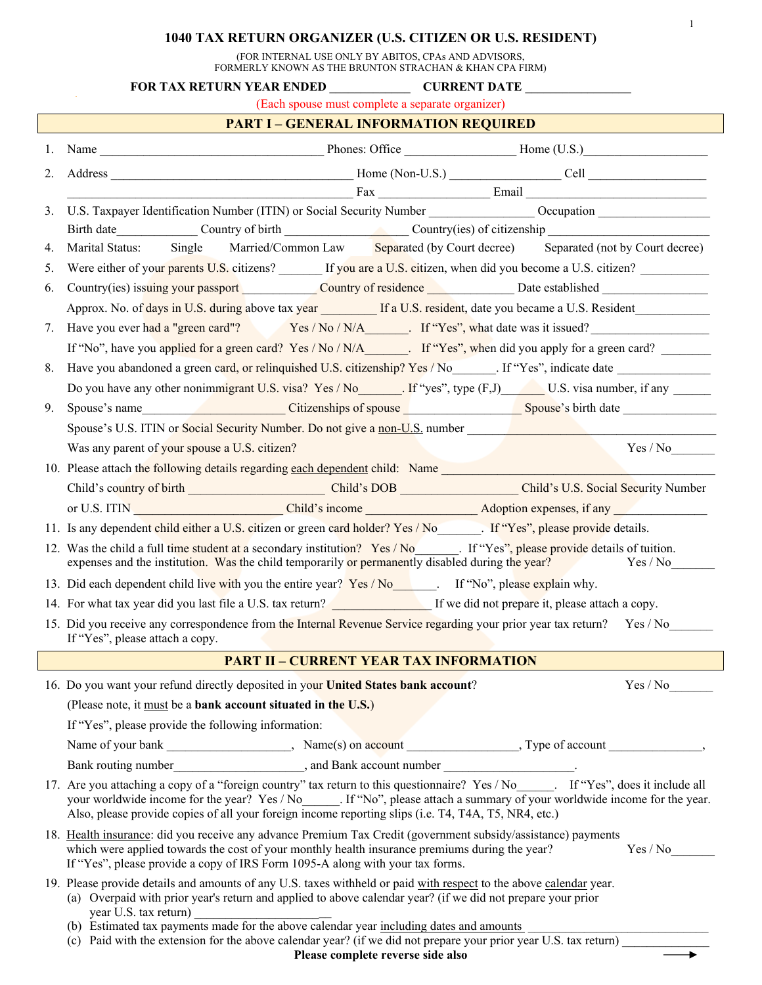# **1040 TAX RETURN ORGANIZER (U.S. CITIZEN OR U.S. RESIDENT)**

1

(FOR INTERNAL USE ONLY BY ABITOS, CPAs AND ADVISORS, FORMERLY KNOWN AS THE BRUNTON STRACHAN & KHAN CPA FIRM)

|    | FOR TAX RETURN YEAR ENDED CURRENT DATE                                                                                                                                                                                                                                                                                                                          |
|----|-----------------------------------------------------------------------------------------------------------------------------------------------------------------------------------------------------------------------------------------------------------------------------------------------------------------------------------------------------------------|
|    | (Each spouse must complete a separate organizer)                                                                                                                                                                                                                                                                                                                |
|    | <b>PART I – GENERAL INFORMATION REQUIRED</b>                                                                                                                                                                                                                                                                                                                    |
|    |                                                                                                                                                                                                                                                                                                                                                                 |
| 2. |                                                                                                                                                                                                                                                                                                                                                                 |
|    | <u>Email Email Communications and Email Email Communications and the set of the set of the set of the set of the set of the set of the set of the set of the set of the set of the set of the set of the set of the set of the s</u>                                                                                                                            |
| 3. | U.S. Taxpayer Identification Number (ITIN) or Social Security Number Cocupation Cocupation                                                                                                                                                                                                                                                                      |
|    | Birth date Country of birth Country of birth Country (ies) of citizenship                                                                                                                                                                                                                                                                                       |
| 4. | Marital Status: Single Married/Common Law Separated (by Court decree) Separated (not by Court decree)                                                                                                                                                                                                                                                           |
| 5. | Were either of your parents U.S. citizens? If you are a U.S. citizen, when did you become a U.S. citizen?                                                                                                                                                                                                                                                       |
| 6. | Country(ies) issuing your passport Country of residence Date established                                                                                                                                                                                                                                                                                        |
|    | Approx. No. of days in U.S. during above tax year If a U.S. resident, date you became a U.S. Resident                                                                                                                                                                                                                                                           |
| 7. | Have you ever had a "green card"? Yes / No / N/A_______. If "Yes", what date was it issued?                                                                                                                                                                                                                                                                     |
|    |                                                                                                                                                                                                                                                                                                                                                                 |
| 8. | Have you abandoned a green card, or relinquished U.S. citizenship? Yes / No ______. If "Yes", indicate date ___________________________                                                                                                                                                                                                                         |
|    | Do you have any other nonimmigrant U.S. visa? Yes / No<br>If "yes", type (F,J) U.S. visa number, if any                                                                                                                                                                                                                                                         |
| 9. | Spouse's name Spouse's name Spouse's birth date Spouse's birth date Spouse's birth date Spouse's name Spouse's name Spouse's name Spouse's name Spouse's name Spouse's name Spouse's name Spouse's name Spouse's name Spouse's                                                                                                                                  |
|    | Spouse's U.S. ITIN or Social Security Number. Do not give a non-U.S. number                                                                                                                                                                                                                                                                                     |
|    | Yes / No<br>Was any parent of your spouse a U.S. citizen?                                                                                                                                                                                                                                                                                                       |
|    | 10. Please attach the following details regarding each dependent child: Name                                                                                                                                                                                                                                                                                    |
|    | Child's Country of birth Child's DOB Child's DOB Child's U.S. Social Security Number                                                                                                                                                                                                                                                                            |
|    | or U.S. ITIN Child's income Child's income Adoption expenses, if any                                                                                                                                                                                                                                                                                            |
|    | 11. Is any dependent child either a U.S. citizen or green card holder? Yes / No [16]. If "Yes", please provide details.                                                                                                                                                                                                                                         |
|    | 12. Was the child a full time student at a secondary institution? Yes / No . If "Yes", please provide details of tuition.<br>expenses and the institution. Was the child temporarily or permanently disabled during the year?<br>Yes / No                                                                                                                       |
|    | 13. Did each dependent child live with you the entire year? Yes / No. If "No", please explain why.                                                                                                                                                                                                                                                              |
|    | 14. For what tax year did you last file a U.S. tax return? If we did not prepare it, please attach a copy.                                                                                                                                                                                                                                                      |
|    | 15. Did you receive any correspondence from the Internal Revenue Service regarding your prior year tax return? Yes / No<br>If "Yes", please attach a copy.                                                                                                                                                                                                      |
|    | <b>PART II - CURRENT YEAR TAX INFORMATION</b>                                                                                                                                                                                                                                                                                                                   |
|    | 16. Do you want your refund directly deposited in your United States bank account?<br>Yes / No                                                                                                                                                                                                                                                                  |
|    | (Please note, it must be a bank account situated in the U.S.)                                                                                                                                                                                                                                                                                                   |
|    | If "Yes", please provide the following information:                                                                                                                                                                                                                                                                                                             |
|    |                                                                                                                                                                                                                                                                                                                                                                 |
|    | Bank routing number<br><u>Letter and Bank account number</u>                                                                                                                                                                                                                                                                                                    |
|    | 17. Are you attaching a copy of a "foreign country" tax return to this questionnaire? Yes / No  If "Yes", does it include all<br>your worldwide income for the year? Yes / No . If "No", please attach a summary of your worldwide income for the year.<br>Also, please provide copies of all your foreign income reporting slips (i.e. T4, T4A, T5, NR4, etc.) |
|    | 18. Health insurance: did you receive any advance Premium Tax Credit (government subsidy/assistance) payments<br>which were applied towards the cost of your monthly health insurance premiums during the year?<br>Yes / No<br>If "Yes", please provide a copy of IRS Form 1095-A along with your tax forms.                                                    |
|    | 19. Please provide details and amounts of any U.S. taxes withheld or paid with respect to the above calendar year.<br>(a) Overpaid with prior year's return and applied to above calendar year? (if we did not prepare your prior<br>year U.S. tax return)                                                                                                      |
|    | (b) Estimated tax payments made for the above calendar year including dates and amounts<br>(c) Paid with the extension for the above calendar year? (if we did not prepare your prior year U.S. tax return)                                                                                                                                                     |

**Please complete reverse side also**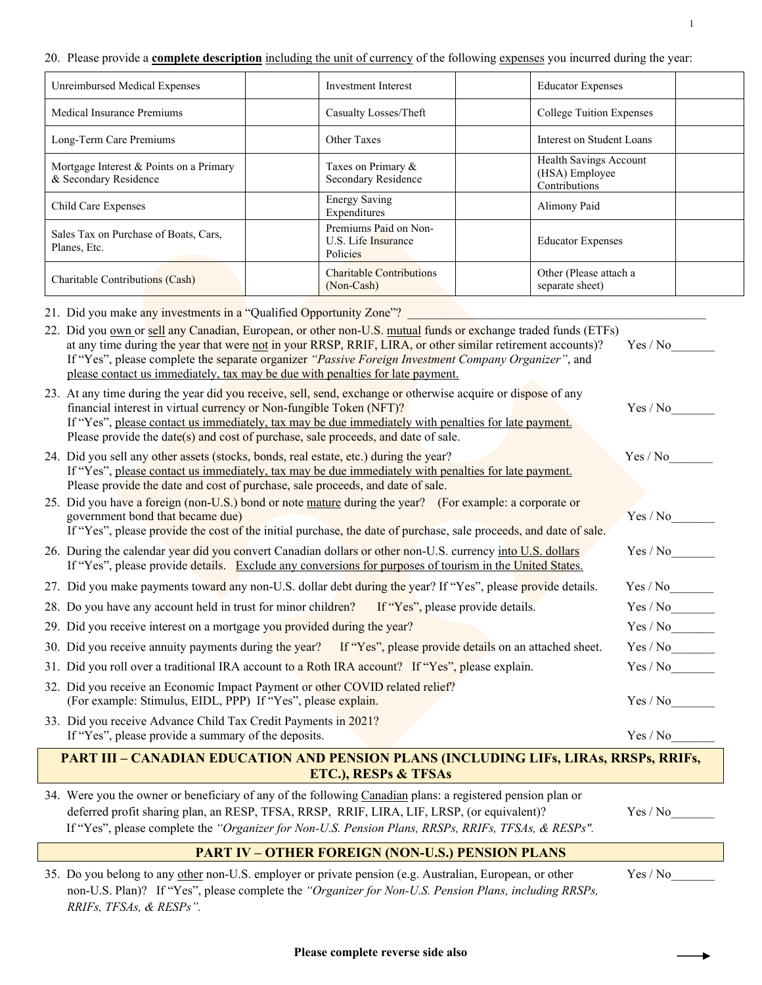#### 20. Please provide a **complete description** including the unit of currency of the following expenses you incurred during the year:

| Unreimbursed Medical Expenses                                    | <b>Investment Interest</b>                               | <b>Educator Expenses</b>                                  |
|------------------------------------------------------------------|----------------------------------------------------------|-----------------------------------------------------------|
| Medical Insurance Premiums                                       | Casualty Losses/Theft                                    | <b>College Tuition Expenses</b>                           |
| Long-Term Care Premiums                                          | Other Taxes                                              | Interest on Student Loans                                 |
| Mortgage Interest & Points on a Primary<br>& Secondary Residence | Taxes on Primary &<br>Secondary Residence                | Health Savings Account<br>(HSA) Employee<br>Contributions |
| Child Care Expenses                                              | <b>Energy Saving</b><br>Expenditures                     | Alimony Paid                                              |
| Sales Tax on Purchase of Boats, Cars,<br>Planes, Etc.            | Premiums Paid on Non-<br>U.S. Life Insurance<br>Policies | <b>Educator Expenses</b>                                  |
| Charitable Contributions (Cash)                                  | <b>Charitable Contributions</b><br>(Non-Cash)            | Other (Please attach a<br>separate sheet)                 |

21. Did you make any investments in a "Qualified Opportunity Zone"?

| 22. Did you own or sell any Canadian, European, or other non-U.S. mutual funds or exchange traded funds (ETFs)<br>at any time during the year that were not in your RRSP, RRIF, LIRA, or other similar retirement accounts)?<br>If "Yes", please complete the separate organizer "Passive Foreign Investment Company Organizer", and<br>please contact us immediately, tax may be due with penalties for late payment. | Yes / No |  |  |  |
|------------------------------------------------------------------------------------------------------------------------------------------------------------------------------------------------------------------------------------------------------------------------------------------------------------------------------------------------------------------------------------------------------------------------|----------|--|--|--|
| 23. At any time during the year did you receive, sell, send, exchange or otherwise acquire or dispose of any<br>financial interest in virtual currency or Non-fungible Token (NFT)?<br>If "Yes", please contact us immediately, tax may be due immediately with penalties for late payment.<br>Please provide the date(s) and cost of purchase, sale proceeds, and date of sale.                                       | Yes / No |  |  |  |
| 24. Did you sell any other assets (stocks, bonds, real estate, etc.) during the year?<br>If "Yes", please contact us immediately, tax may be due immediately with penalties for late payment.<br>Please provide the date and cost of purchase, sale proceeds, and date of sale.                                                                                                                                        | Yes / No |  |  |  |
| 25. Did you have a foreign (non-U.S.) bond or note mature during the year? (For example: a corporate or<br>government bond that became due)<br>If "Yes", please provide the cost of the initial purchase, the date of purchase, sale proceeds, and date of sale.                                                                                                                                                       | Yes / No |  |  |  |
| 26. During the calendar year did you convert Canadian dollars or other non-U.S. currency into U.S. dollars<br>If "Yes", please provide details. Exclude any conversions for purposes of tourism in the United States.                                                                                                                                                                                                  | Yes / No |  |  |  |
| 27. Did you make payments toward any non-U.S. dollar debt during the year? If "Yes", please provide details.                                                                                                                                                                                                                                                                                                           | Yes / No |  |  |  |
| 28. Do you have any account held in trust for minor children? If "Yes", please provide details.                                                                                                                                                                                                                                                                                                                        | Yes / No |  |  |  |
| 29. Did you receive interest on a mortgage you provided during the year?                                                                                                                                                                                                                                                                                                                                               | Yes / No |  |  |  |
| 30. Did you receive annuity payments during the year? If "Yes", please provide details on an attached sheet.                                                                                                                                                                                                                                                                                                           | Yes / No |  |  |  |
| 31. Did you roll over a traditional IRA account to a Roth IRA account? If "Yes", please explain.                                                                                                                                                                                                                                                                                                                       | Yes / No |  |  |  |
| 32. Did you receive an Economic Impact Payment or other COVID related relief?<br>(For example: Stimulus, EIDL, PPP) If "Yes", please explain.                                                                                                                                                                                                                                                                          | Yes / No |  |  |  |
| 33. Did you receive Advance Child Tax Credit Payments in 2021?<br>If "Yes", please provide a summary of the deposits.                                                                                                                                                                                                                                                                                                  | Yes / No |  |  |  |
| <b>PART III – CANADIAN EDUCATION AND PENSION PLANS (INCLUDING LIFs, LIRAs, RRSPs, RRIFs,</b><br>ETC.), RESPs & TFSAs                                                                                                                                                                                                                                                                                                   |          |  |  |  |

34. Were you the owner or beneficiary of any of the following Canadian plans: a registered pension plan or deferred profit sharing plan, an RESP, TFSA, RRSP, RRIF, LIRA, LIF, LRSP, (or equivalent)? Yes / No\_\_\_\_\_\_\_

If "Yes", please complete the *"Organizer for Non-U.S. Pension Plans, RRSPs, RRIFs, TFSAs, & RESPs".*

### **PART IV – OTHER FOREIGN (NON-U.S.) PENSION PLANS**

35. Do you belong to any other non-U.S. employer or private pension (e.g. Australian, European, or other Yes / No\_ non-U.S. Plan)? If "Yes", please complete the *"Organizer for Non-U.S. Pension Plans, including RRSPs, RRIFs, TFSAs, & RESPs".*